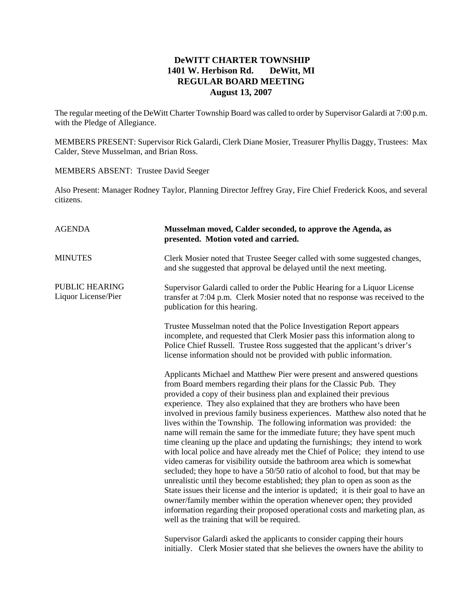## **DeWITT CHARTER TOWNSHIP 1401 W. Herbison Rd. DeWitt, MI REGULAR BOARD MEETING August 13, 2007**

The regular meeting of the DeWitt Charter Township Board was called to order by Supervisor Galardi at 7:00 p.m. with the Pledge of Allegiance.

MEMBERS PRESENT: Supervisor Rick Galardi, Clerk Diane Mosier, Treasurer Phyllis Daggy, Trustees: Max Calder, Steve Musselman, and Brian Ross.

MEMBERS ABSENT: Trustee David Seeger

Also Present: Manager Rodney Taylor, Planning Director Jeffrey Gray, Fire Chief Frederick Koos, and several citizens.

| <b>AGENDA</b>                                | Musselman moved, Calder seconded, to approve the Agenda, as<br>presented. Motion voted and carried.                                                                                                                                                                                                                                                                                                                                                                                                                                                                                                                                                                                                                                                                                                                                                                                                                                                                                                                                                                                                                                                                                                                                              |
|----------------------------------------------|--------------------------------------------------------------------------------------------------------------------------------------------------------------------------------------------------------------------------------------------------------------------------------------------------------------------------------------------------------------------------------------------------------------------------------------------------------------------------------------------------------------------------------------------------------------------------------------------------------------------------------------------------------------------------------------------------------------------------------------------------------------------------------------------------------------------------------------------------------------------------------------------------------------------------------------------------------------------------------------------------------------------------------------------------------------------------------------------------------------------------------------------------------------------------------------------------------------------------------------------------|
| <b>MINUTES</b>                               | Clerk Mosier noted that Trustee Seeger called with some suggested changes,<br>and she suggested that approval be delayed until the next meeting.                                                                                                                                                                                                                                                                                                                                                                                                                                                                                                                                                                                                                                                                                                                                                                                                                                                                                                                                                                                                                                                                                                 |
| <b>PUBLIC HEARING</b><br>Liquor License/Pier | Supervisor Galardi called to order the Public Hearing for a Liquor License<br>transfer at 7:04 p.m. Clerk Mosier noted that no response was received to the<br>publication for this hearing.                                                                                                                                                                                                                                                                                                                                                                                                                                                                                                                                                                                                                                                                                                                                                                                                                                                                                                                                                                                                                                                     |
|                                              | Trustee Musselman noted that the Police Investigation Report appears<br>incomplete, and requested that Clerk Mosier pass this information along to<br>Police Chief Russell. Trustee Ross suggested that the applicant's driver's<br>license information should not be provided with public information.                                                                                                                                                                                                                                                                                                                                                                                                                                                                                                                                                                                                                                                                                                                                                                                                                                                                                                                                          |
|                                              | Applicants Michael and Matthew Pier were present and answered questions<br>from Board members regarding their plans for the Classic Pub. They<br>provided a copy of their business plan and explained their previous<br>experience. They also explained that they are brothers who have been<br>involved in previous family business experiences. Matthew also noted that he<br>lives within the Township. The following information was provided: the<br>name will remain the same for the immediate future; they have spent much<br>time cleaning up the place and updating the furnishings; they intend to work<br>with local police and have already met the Chief of Police; they intend to use<br>video cameras for visibility outside the bathroom area which is somewhat<br>secluded; they hope to have a 50/50 ratio of alcohol to food, but that may be<br>unrealistic until they become established; they plan to open as soon as the<br>State issues their license and the interior is updated; it is their goal to have an<br>owner/family member within the operation whenever open; they provided<br>information regarding their proposed operational costs and marketing plan, as<br>well as the training that will be required. |
|                                              | Supervisor Galardi asked the applicants to consider capping their hours                                                                                                                                                                                                                                                                                                                                                                                                                                                                                                                                                                                                                                                                                                                                                                                                                                                                                                                                                                                                                                                                                                                                                                          |

initially. Clerk Mosier stated that she believes the owners have the ability to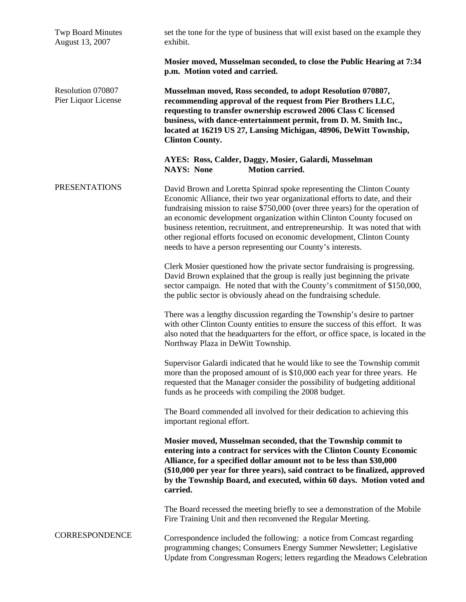| <b>Twp Board Minutes</b><br>August 13, 2007 | set the tone for the type of business that will exist based on the example they<br>exhibit.                                                                                                                                                                                                                                                                                                                                                                                                                                               |
|---------------------------------------------|-------------------------------------------------------------------------------------------------------------------------------------------------------------------------------------------------------------------------------------------------------------------------------------------------------------------------------------------------------------------------------------------------------------------------------------------------------------------------------------------------------------------------------------------|
|                                             | Mosier moved, Musselman seconded, to close the Public Hearing at 7:34<br>p.m. Motion voted and carried.                                                                                                                                                                                                                                                                                                                                                                                                                                   |
| Resolution 070807<br>Pier Liquor License    | Musselman moved, Ross seconded, to adopt Resolution 070807,<br>recommending approval of the request from Pier Brothers LLC,<br>requesting to transfer ownership escrowed 2006 Class C licensed<br>business, with dance-entertainment permit, from D. M. Smith Inc.,<br>located at 16219 US 27, Lansing Michigan, 48906, DeWitt Township,<br><b>Clinton County.</b>                                                                                                                                                                        |
|                                             | AYES: Ross, Calder, Daggy, Mosier, Galardi, Musselman<br><b>NAYS: None</b><br><b>Motion carried.</b>                                                                                                                                                                                                                                                                                                                                                                                                                                      |
| <b>PRESENTATIONS</b>                        | David Brown and Loretta Spinrad spoke representing the Clinton County<br>Economic Alliance, their two year organizational efforts to date, and their<br>fundraising mission to raise \$750,000 (over three years) for the operation of<br>an economic development organization within Clinton County focused on<br>business retention, recruitment, and entrepreneurship. It was noted that with<br>other regional efforts focused on economic development, Clinton County<br>needs to have a person representing our County's interests. |
|                                             | Clerk Mosier questioned how the private sector fundraising is progressing.<br>David Brown explained that the group is really just beginning the private<br>sector campaign. He noted that with the County's commitment of \$150,000,<br>the public sector is obviously ahead on the fundraising schedule.                                                                                                                                                                                                                                 |
|                                             | There was a lengthy discussion regarding the Township's desire to partner<br>with other Clinton County entities to ensure the success of this effort. It was<br>also noted that the headquarters for the effort, or office space, is located in the<br>Northway Plaza in DeWitt Township.                                                                                                                                                                                                                                                 |
|                                             | Supervisor Galardi indicated that he would like to see the Township commit<br>more than the proposed amount of is \$10,000 each year for three years. He<br>requested that the Manager consider the possibility of budgeting additional<br>funds as he proceeds with compiling the 2008 budget.                                                                                                                                                                                                                                           |
|                                             | The Board commended all involved for their dedication to achieving this<br>important regional effort.                                                                                                                                                                                                                                                                                                                                                                                                                                     |
|                                             | Mosier moved, Musselman seconded, that the Township commit to<br>entering into a contract for services with the Clinton County Economic<br>Alliance, for a specified dollar amount not to be less than \$30,000<br>(\$10,000 per year for three years), said contract to be finalized, approved<br>by the Township Board, and executed, within 60 days. Motion voted and<br>carried.                                                                                                                                                      |
|                                             | The Board recessed the meeting briefly to see a demonstration of the Mobile<br>Fire Training Unit and then reconvened the Regular Meeting.                                                                                                                                                                                                                                                                                                                                                                                                |
| CORRESPONDENCE                              | Correspondence included the following: a notice from Comcast regarding<br>programming changes; Consumers Energy Summer Newsletter; Legislative<br>Update from Congressman Rogers; letters regarding the Meadows Celebration                                                                                                                                                                                                                                                                                                               |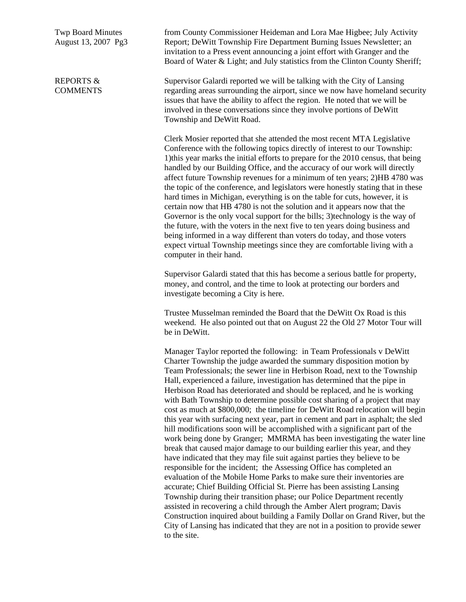Twp Board Minutes August 13, 2007 Pg3

REPORTS & **COMMENTS**  from County Commissioner Heideman and Lora Mae Higbee; July Activity Report; DeWitt Township Fire Department Burning Issues Newsletter; an invitation to a Press event announcing a joint effort with Granger and the Board of Water & Light; and July statistics from the Clinton County Sheriff;

Supervisor Galardi reported we will be talking with the City of Lansing regarding areas surrounding the airport, since we now have homeland security issues that have the ability to affect the region. He noted that we will be involved in these conversations since they involve portions of DeWitt Township and DeWitt Road.

Clerk Mosier reported that she attended the most recent MTA Legislative Conference with the following topics directly of interest to our Township: 1)this year marks the initial efforts to prepare for the 2010 census, that being handled by our Building Office, and the accuracy of our work will directly affect future Township revenues for a minimum of ten years; 2)HB 4780 was the topic of the conference, and legislators were honestly stating that in these hard times in Michigan, everything is on the table for cuts, however, it is certain now that HB 4780 is not the solution and it appears now that the Governor is the only vocal support for the bills; 3)technology is the way of the future, with the voters in the next five to ten years doing business and being informed in a way different than voters do today, and those voters expect virtual Township meetings since they are comfortable living with a computer in their hand.

Supervisor Galardi stated that this has become a serious battle for property, money, and control, and the time to look at protecting our borders and investigate becoming a City is here.

Trustee Musselman reminded the Board that the DeWitt Ox Road is this weekend. He also pointed out that on August 22 the Old 27 Motor Tour will be in DeWitt.

Manager Taylor reported the following: in Team Professionals v DeWitt Charter Township the judge awarded the summary disposition motion by Team Professionals; the sewer line in Herbison Road, next to the Township Hall, experienced a failure, investigation has determined that the pipe in Herbison Road has deteriorated and should be replaced, and he is working with Bath Township to determine possible cost sharing of a project that may cost as much at \$800,000; the timeline for DeWitt Road relocation will begin this year with surfacing next year, part in cement and part in asphalt; the sled hill modifications soon will be accomplished with a significant part of the work being done by Granger; MMRMA has been investigating the water line break that caused major damage to our building earlier this year, and they have indicated that they may file suit against parties they believe to be responsible for the incident; the Assessing Office has completed an evaluation of the Mobile Home Parks to make sure their inventories are accurate; Chief Building Official St. Pierre has been assisting Lansing Township during their transition phase; our Police Department recently assisted in recovering a child through the Amber Alert program; Davis Construction inquired about building a Family Dollar on Grand River, but the City of Lansing has indicated that they are not in a position to provide sewer to the site.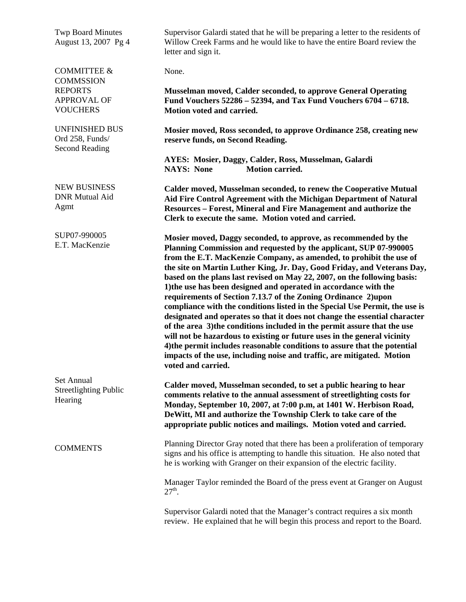| <b>Twp Board Minutes</b><br>August 13, 2007 Pg 4                  | Supervisor Galardi stated that he will be preparing a letter to the residents of<br>Willow Creek Farms and he would like to have the entire Board review the<br>letter and sign it.                                                                                                                                                                                                                                                                                                                                                                                                                                                                                                                                                                                                                                                                                                                                                                                                                       |
|-------------------------------------------------------------------|-----------------------------------------------------------------------------------------------------------------------------------------------------------------------------------------------------------------------------------------------------------------------------------------------------------------------------------------------------------------------------------------------------------------------------------------------------------------------------------------------------------------------------------------------------------------------------------------------------------------------------------------------------------------------------------------------------------------------------------------------------------------------------------------------------------------------------------------------------------------------------------------------------------------------------------------------------------------------------------------------------------|
| <b>COMMITTEE &amp;</b><br><b>COMMSSION</b>                        | None.                                                                                                                                                                                                                                                                                                                                                                                                                                                                                                                                                                                                                                                                                                                                                                                                                                                                                                                                                                                                     |
| <b>REPORTS</b><br><b>APPROVAL OF</b><br><b>VOUCHERS</b>           | Musselman moved, Calder seconded, to approve General Operating<br>Fund Vouchers 52286 - 52394, and Tax Fund Vouchers 6704 - 6718.<br>Motion voted and carried.                                                                                                                                                                                                                                                                                                                                                                                                                                                                                                                                                                                                                                                                                                                                                                                                                                            |
| <b>UNFINISHED BUS</b><br>Ord 258, Funds/<br><b>Second Reading</b> | Mosier moved, Ross seconded, to approve Ordinance 258, creating new<br>reserve funds, on Second Reading.                                                                                                                                                                                                                                                                                                                                                                                                                                                                                                                                                                                                                                                                                                                                                                                                                                                                                                  |
|                                                                   | AYES: Mosier, Daggy, Calder, Ross, Musselman, Galardi<br><b>Motion carried.</b><br><b>NAYS: None</b>                                                                                                                                                                                                                                                                                                                                                                                                                                                                                                                                                                                                                                                                                                                                                                                                                                                                                                      |
| <b>NEW BUSINESS</b><br><b>DNR Mutual Aid</b><br>Agmt              | Calder moved, Musselman seconded, to renew the Cooperative Mutual<br>Aid Fire Control Agreement with the Michigan Department of Natural<br>Resources - Forest, Mineral and Fire Management and authorize the<br>Clerk to execute the same. Motion voted and carried.                                                                                                                                                                                                                                                                                                                                                                                                                                                                                                                                                                                                                                                                                                                                      |
| SUP07-990005<br>E.T. MacKenzie                                    | Mosier moved, Daggy seconded, to approve, as recommended by the<br>Planning Commission and requested by the applicant, SUP 07-990005<br>from the E.T. MacKenzie Company, as amended, to prohibit the use of<br>the site on Martin Luther King, Jr. Day, Good Friday, and Veterans Day,<br>based on the plans last revised on May 22, 2007, on the following basis:<br>1) the use has been designed and operated in accordance with the<br>requirements of Section 7.13.7 of the Zoning Ordinance 2)upon<br>compliance with the conditions listed in the Special Use Permit, the use is<br>designated and operates so that it does not change the essential character<br>of the area 3) the conditions included in the permit assure that the use<br>will not be hazardous to existing or future uses in the general vicinity<br>4) the permit includes reasonable conditions to assure that the potential<br>impacts of the use, including noise and traffic, are mitigated. Motion<br>voted and carried. |
| Set Annual<br><b>Streetlighting Public</b><br>Hearing             | Calder moved, Musselman seconded, to set a public hearing to hear<br>comments relative to the annual assessment of streetlighting costs for<br>Monday, September 10, 2007, at 7:00 p.m, at 1401 W. Herbison Road,<br>DeWitt, MI and authorize the Township Clerk to take care of the<br>appropriate public notices and mailings. Motion voted and carried.                                                                                                                                                                                                                                                                                                                                                                                                                                                                                                                                                                                                                                                |
| <b>COMMENTS</b>                                                   | Planning Director Gray noted that there has been a proliferation of temporary<br>signs and his office is attempting to handle this situation. He also noted that<br>he is working with Granger on their expansion of the electric facility.                                                                                                                                                                                                                                                                                                                                                                                                                                                                                                                                                                                                                                                                                                                                                               |
|                                                                   | Manager Taylor reminded the Board of the press event at Granger on August<br>$27^{th}$ .                                                                                                                                                                                                                                                                                                                                                                                                                                                                                                                                                                                                                                                                                                                                                                                                                                                                                                                  |
|                                                                   | Supervisor Galardi noted that the Manager's contract requires a six month<br>review. He explained that he will begin this process and report to the Board.                                                                                                                                                                                                                                                                                                                                                                                                                                                                                                                                                                                                                                                                                                                                                                                                                                                |